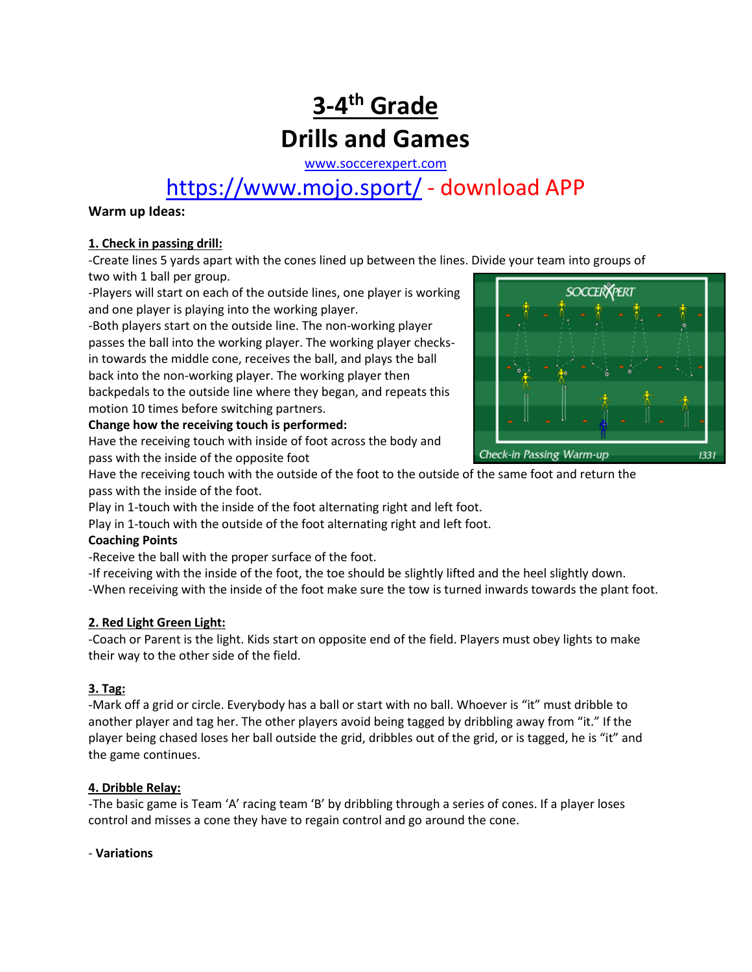## **3-4 th Grade Drills and Games**

[www.soccerexpert.com](http://www.soccerexpert.com/)

## <https://www.mojo.sport/> - download APP

#### **Warm up Ideas:**

#### **1. Check in passing drill:**

-Create lines 5 yards apart with the cones lined up between the lines. Divide your team into groups of two with 1 ball per group.

-Players will start on each of the outside lines, one player is working and one player is playing into the working player.

-Both players start on the outside line. The non-working player passes the ball into the working player. The working player checksin towards the middle cone, receives the ball, and plays the ball back into the non-working player. The working player then backpedals to the outside line where they began, and repeats this motion 10 times before switching partners.

#### **Change how the receiving touch is performed:**

Have the receiving touch with inside of foot across the body and pass with the inside of the opposite foot

Have the receiving touch with the outside of the foot to the outside of the same foot and return the pass with the inside of the foot.

Play in 1-touch with the inside of the foot alternating right and left foot.

Play in 1-touch with the outside of the foot alternating right and left foot.

#### **Coaching Points**

-Receive the ball with the proper surface of the foot.

-If receiving with the inside of the foot, the toe should be slightly lifted and the heel slightly down. -When receiving with the inside of the foot make sure the tow is turned inwards towards the plant foot.

#### **2. Red Light Green Light:**

-Coach or Parent is the light. Kids start on opposite end of the field. Players must obey lights to make their way to the other side of the field.

#### **3. Tag:**

-Mark off a grid or circle. Everybody has a ball or start with no ball. Whoever is "it" must dribble to another player and tag her. The other players avoid being tagged by dribbling away from "it." If the player being chased loses her ball outside the grid, dribbles out of the grid, or is tagged, he is "it" and the game continues.

#### **4. Dribble Relay:**

-The basic game is Team 'A' racing team 'B' by dribbling through a series of cones. If a player loses control and misses a cone they have to regain control and go around the cone.

#### - **Variations**

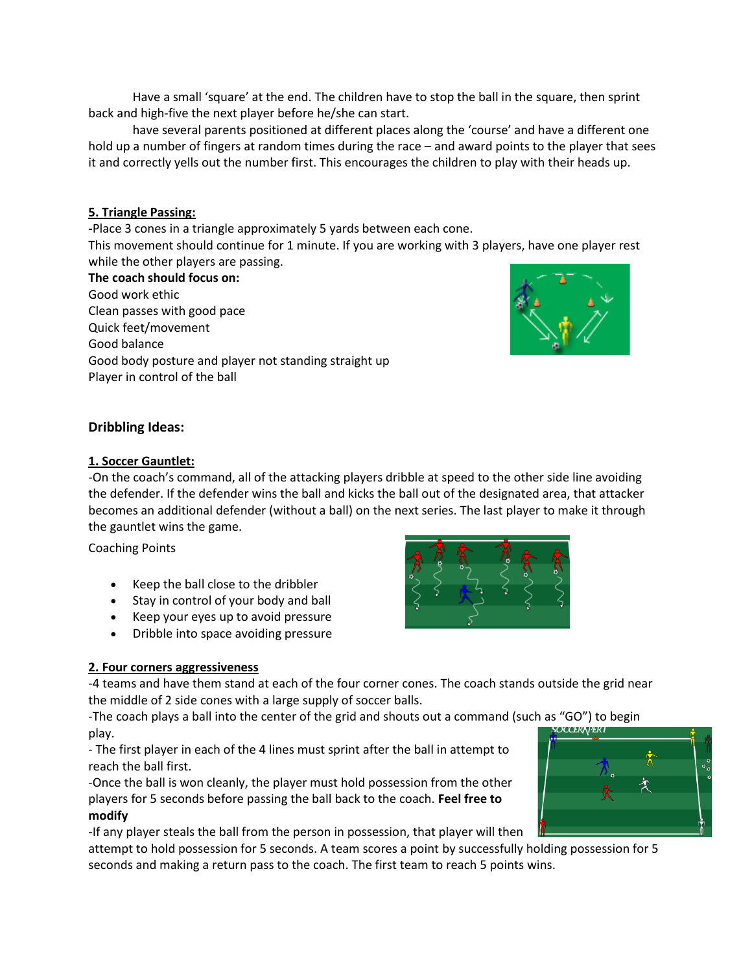Have a small 'square' at the end. The children have to stop the ball in the square, then sprint back and high-five the next player before he/she can start.

have several parents positioned at different places along the 'course' and have a different one hold up a number of fingers at random times during the race – and award points to the player that sees it and correctly yells out the number first. This encourages the children to play with their heads up.

#### **5. Triangle Passing:**

**-**Place 3 cones in a triangle approximately 5 yards between each cone.

This movement should continue for 1 minute. If you are working with 3 players, have one player rest while the other players are passing.

**The coach should focus on:** Good work ethic Clean passes with good pace Quick feet/movement Good balance Good body posture and player not standing straight up Player in control of the ball

#### **Dribbling Ideas:**

#### **1. Soccer Gauntlet:**

-On the coach's command, all of the attacking players dribble at speed to the other side line avoiding the defender. If the defender wins the ball and kicks the ball out of the designated area, that attacker becomes an additional defender (without a ball) on the next series. The last player to make it through the gauntlet wins the game.

Coaching Points

- Keep the ball close to the dribbler
- Stay in control of your body and ball
- Keep your eyes up to avoid pressure
- Dribble into space avoiding pressure

#### **2. Four corners aggressiveness**

-4 teams and have them stand at each of the four corner cones. The coach stands outside the grid near the middle of 2 side cones with a large supply of soccer balls.

-The coach plays a ball into the center of the grid and shouts out a command (such as "GO") to begin play.

- The first player in each of the 4 lines must sprint after the ball in attempt to reach the ball first.

-Once the ball is won cleanly, the player must hold possession from the other players for 5 seconds before passing the ball back to the coach. **Feel free to modify** 

-If any player steals the ball from the person in possession, that player will then

attempt to hold possession for 5 seconds. A team scores a point by successfully holding possession for 5 seconds and making a return pass to the coach. The first team to reach 5 points wins.





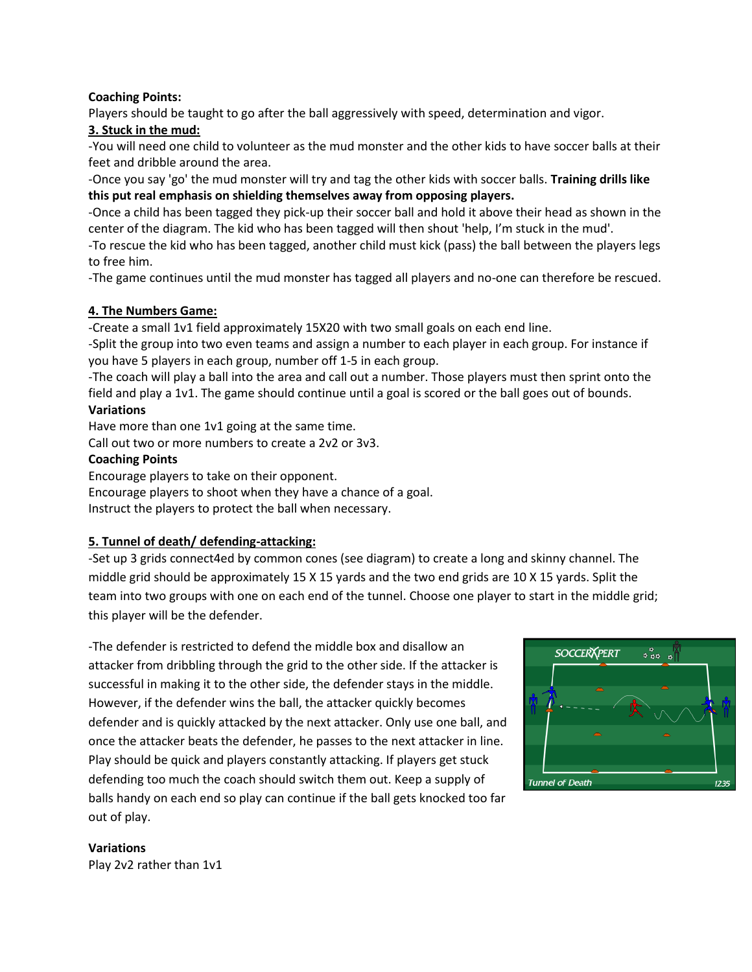#### **Coaching Points:**

Players should be taught to go after the ball aggressively with speed, determination and vigor.

#### **3. Stuck in the mud:**

-You will need one child to volunteer as the mud monster and the other kids to have soccer balls at their feet and dribble around the area.

-Once you say 'go' the mud monster will try and tag the other kids with soccer balls. **Training drills like this put real emphasis on shielding themselves away from opposing players.**

-Once a child has been tagged they pick-up their soccer ball and hold it above their head as shown in the center of the diagram. The kid who has been tagged will then shout 'help, I'm stuck in the mud'.

-To rescue the kid who has been tagged, another child must kick (pass) the ball between the players legs to free him.

-The game continues until the mud monster has tagged all players and no-one can therefore be rescued.

#### **4. The Numbers Game:**

-Create a small 1v1 field approximately 15X20 with two small goals on each end line.

-Split the group into two even teams and assign a number to each player in each group. For instance if you have 5 players in each group, number off 1-5 in each group.

-The coach will play a ball into the area and call out a number. Those players must then sprint onto the field and play a 1v1. The game should continue until a goal is scored or the ball goes out of bounds.

#### **Variations**

Have more than one 1v1 going at the same time.

Call out two or more numbers to create a 2v2 or 3v3.

#### **Coaching Points**

Encourage players to take on their opponent.

Encourage players to shoot when they have a chance of a goal.

Instruct the players to protect the ball when necessary.

#### **5. Tunnel of death/ defending-attacking:**

-Set up 3 grids connect4ed by common cones (see diagram) to create a long and skinny channel. The middle grid should be approximately 15 X 15 yards and the two end grids are 10 X 15 yards. Split the team into two groups with one on each end of the tunnel. Choose one player to start in the middle grid; this player will be the defender.

-The defender is restricted to defend the middle box and disallow an attacker from dribbling through the grid to the other side. If the attacker is successful in making it to the other side, the defender stays in the middle. However, if the defender wins the ball, the attacker quickly becomes defender and is quickly attacked by the next attacker. Only use one ball, and once the attacker beats the defender, he passes to the next attacker in line. Play should be quick and players constantly attacking. If players get stuck defending too much the coach should switch them out. Keep a supply of balls handy on each end so play can continue if the ball gets knocked too far out of play.



**Variations** Play 2v2 rather than 1v1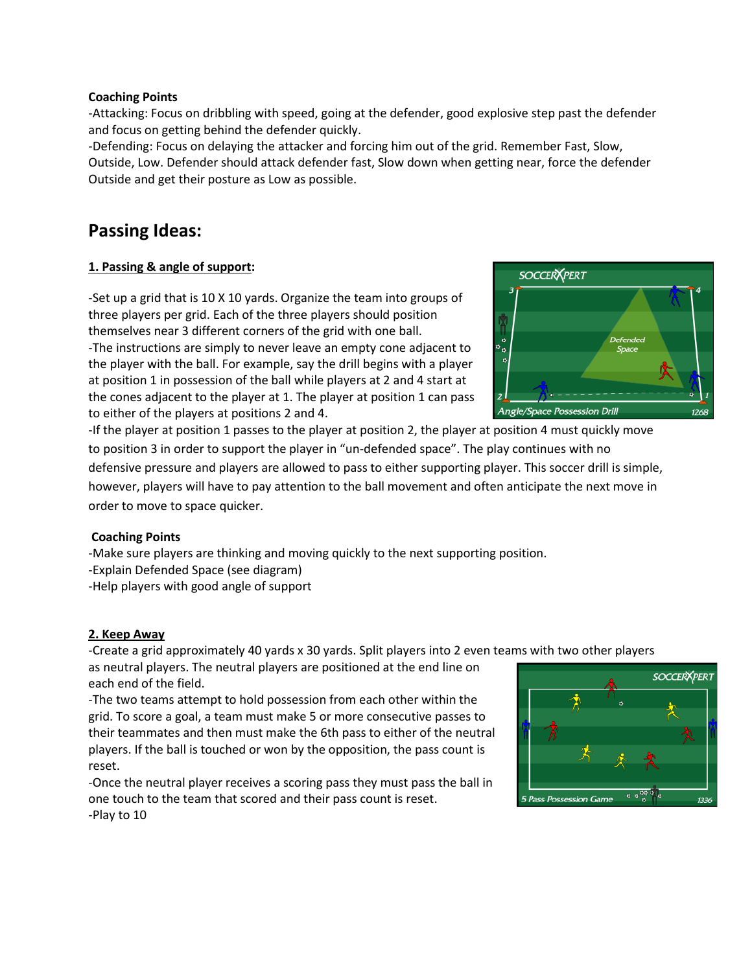#### **Coaching Points**

-Attacking: Focus on dribbling with speed, going at the defender, good explosive step past the defender and focus on getting behind the defender quickly.

-Defending: Focus on delaying the attacker and forcing him out of the grid. Remember Fast, Slow, Outside, Low. Defender should attack defender fast, Slow down when getting near, force the defender Outside and get their posture as Low as possible.

### **Passing Ideas:**

#### **1. Passing & angle of support:**

-Set up a grid that is 10 X 10 yards. Organize the team into groups of three players per grid. Each of the three players should position themselves near 3 different corners of the grid with one ball. -The instructions are simply to never leave an empty cone adjacent to the player with the ball. For example, say the drill begins with a player at position 1 in possession of the ball while players at 2 and 4 start at the cones adjacent to the player at 1. The player at position 1 can pass to either of the players at positions 2 and 4.

Angle/Space Possession Drill -If the player at position 1 passes to the player at position 2, the player at position 4 must quickly move to position 3 in order to support the player in "un-defended space". The play continues with no defensive pressure and players are allowed to pass to either supporting player. This soccer drill is simple,

however, players will have to pay attention to the ball movement and often anticipate the next move in order to move to space quicker.

#### **Coaching Points**

-Make sure players are thinking and moving quickly to the next supporting position.

- -Explain Defended Space (see diagram)
- -Help players with good angle of support

#### **2. Keep Away**

-Create a grid approximately 40 yards x 30 yards. Split players into 2 even teams with two other players

as neutral players. The neutral players are positioned at the end line on each end of the field.

-The two teams attempt to hold possession from each other within the grid. To score a goal, a team must make 5 or more consecutive passes to their teammates and then must make the 6th pass to either of the neutral players. If the ball is touched or won by the opposition, the pass count is reset.

-Once the neutral player receives a scoring pass they must pass the ball in one touch to the team that scored and their pass count is reset.



-Play to 10

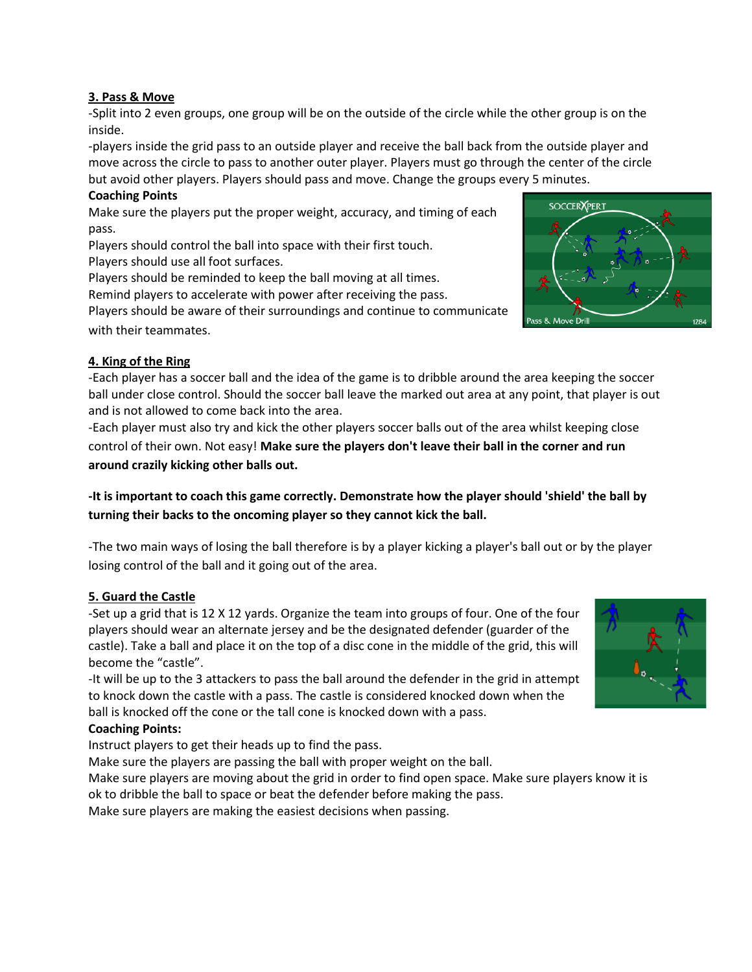#### **3. Pass & Move**

-Split into 2 even groups, one group will be on the outside of the circle while the other group is on the inside.

-players inside the grid pass to an outside player and receive the ball back from the outside player and move across the circle to pass to another outer player. Players must go through the center of the circle but avoid other players. Players should pass and move. Change the groups every 5 minutes.

#### **Coaching Points**

Make sure the players put the proper weight, accuracy, and timing of each pass.

Players should control the ball into space with their first touch. Players should use all foot surfaces.

Players should be reminded to keep the ball moving at all times.

Remind players to accelerate with power after receiving the pass.

Players should be aware of their surroundings and continue to communicate with their teammates.

# **SOCCER XPER** e Dril

#### **4. King of the Ring**

-Each player has a soccer ball and the idea of the game is to dribble around the area keeping the soccer ball under close control. Should the soccer ball leave the marked out area at any point, that player is out and is not allowed to come back into the area.

-Each player must also try and kick the other players soccer balls out of the area whilst keeping close control of their own. Not easy! **Make sure the players don't leave their ball in the corner and run around crazily kicking other balls out.**

#### **-It is important to coach this game correctly. Demonstrate how the player should 'shield' the ball by turning their backs to the oncoming player so they cannot kick the ball.**

-The two main ways of losing the ball therefore is by a player kicking a player's ball out or by the player losing control of the ball and it going out of the area.

#### **5. Guard the Castle**

-Set up a grid that is 12 X 12 yards. Organize the team into groups of four. One of the four players should wear an alternate jersey and be the designated defender (guarder of the castle). Take a ball and place it on the top of a disc cone in the middle of the grid, this will become the "castle".

-It will be up to the 3 attackers to pass the ball around the defender in the grid in attempt to knock down the castle with a pass. The castle is considered knocked down when the ball is knocked off the cone or the tall cone is knocked down with a pass.

#### **Coaching Points:**

Instruct players to get their heads up to find the pass.

Make sure the players are passing the ball with proper weight on the ball.

Make sure players are moving about the grid in order to find open space. Make sure players know it is ok to dribble the ball to space or beat the defender before making the pass.

Make sure players are making the easiest decisions when passing.

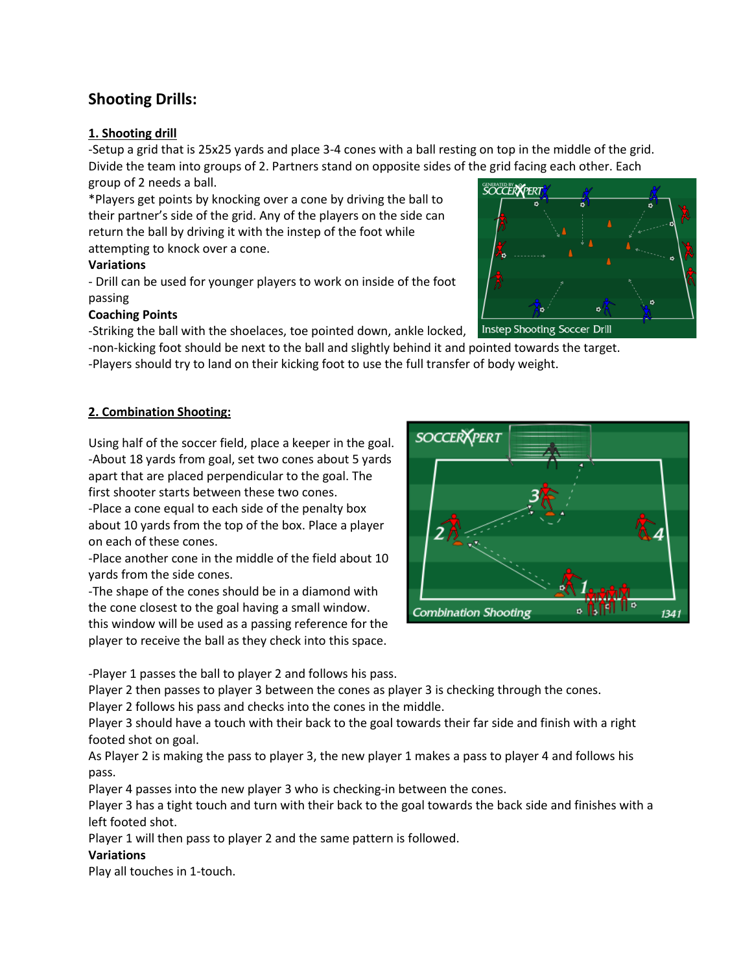#### **Shooting Drills:**

#### **1. Shooting drill**

-Setup a grid that is 25x25 yards and place 3-4 cones with a ball resting on top in the middle of the grid. Divide the team into groups of 2. Partners stand on opposite sides of the grid facing each other. Each group of 2 needs a ball.

\*Players get points by knocking over a cone by driving the ball to their partner's side of the grid. Any of the players on the side can return the ball by driving it with the instep of the foot while attempting to knock over a cone.

#### **Variations**

- Drill can be used for younger players to work on inside of the foot passing

#### **Coaching Points**

-Striking the ball with the shoelaces, toe pointed down, ankle locked,

-non-kicking foot should be next to the ball and slightly behind it and pointed towards the target.

-Players should try to land on their kicking foot to use the full transfer of body weight.

#### **2. Combination Shooting:**

Using half of the soccer field, place a keeper in the goal. -About 18 yards from goal, set two cones about 5 yards apart that are placed perpendicular to the goal. The first shooter starts between these two cones. -Place a cone equal to each side of the penalty box about 10 yards from the top of the box. Place a player on each of these cones.

-Place another cone in the middle of the field about 10 yards from the side cones.

-The shape of the cones should be in a diamond with the cone closest to the goal having a small window. this window will be used as a passing reference for the player to receive the ball as they check into this space.



-Player 1 passes the ball to player 2 and follows his pass.

Player 2 then passes to player 3 between the cones as player 3 is checking through the cones.

Player 2 follows his pass and checks into the cones in the middle.

Player 3 should have a touch with their back to the goal towards their far side and finish with a right footed shot on goal.

As Player 2 is making the pass to player 3, the new player 1 makes a pass to player 4 and follows his pass.

Player 4 passes into the new player 3 who is checking-in between the cones.

Player 3 has a tight touch and turn with their back to the goal towards the back side and finishes with a left footed shot.

Player 1 will then pass to player 2 and the same pattern is followed.

#### **Variations**

Play all touches in 1-touch.



Instep Shooting Soccer Drill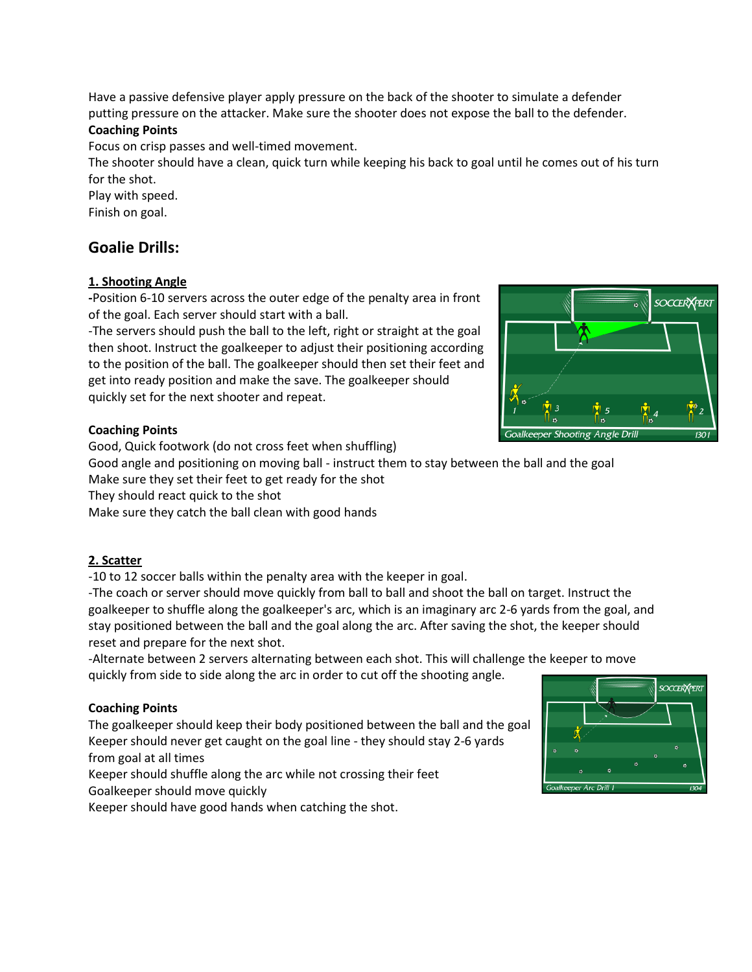Have a passive defensive player apply pressure on the back of the shooter to simulate a defender putting pressure on the attacker. Make sure the shooter does not expose the ball to the defender.

#### **Coaching Points**

Focus on crisp passes and well-timed movement.

The shooter should have a clean, quick turn while keeping his back to goal until he comes out of his turn for the shot.

Play with speed.

Finish on goal.

#### **Goalie Drills:**

#### **1. Shooting Angle**

**-**Position 6-10 servers across the outer edge of the penalty area in front of the goal. Each server should start with a ball.

-The servers should push the ball to the left, right or straight at the goal then shoot. Instruct the goalkeeper to adjust their positioning according to the position of the ball. The goalkeeper should then set their feet and get into ready position and make the save. The goalkeeper should quickly set for the next shooter and repeat.

#### **Coaching Points**

Good, Quick footwork (do not cross feet when shuffling)

Good angle and positioning on moving ball - instruct them to stay between the ball and the goal

Make sure they set their feet to get ready for the shot

They should react quick to the shot

Make sure they catch the ball clean with good hands

#### **2. Scatter**

-10 to 12 soccer balls within the penalty area with the keeper in goal.

-The coach or server should move quickly from ball to ball and shoot the ball on target. Instruct the goalkeeper to shuffle along the goalkeeper's arc, which is an imaginary arc 2-6 yards from the goal, and stay positioned between the ball and the goal along the arc. After saving the shot, the keeper should reset and prepare for the next shot.

-Alternate between 2 servers alternating between each shot. This will challenge the keeper to move quickly from side to side along the arc in order to cut off the shooting angle.

#### **Coaching Points**

The goalkeeper should keep their body positioned between the ball and the goal Keeper should never get caught on the goal line - they should stay 2-6 yards from goal at all times

Keeper should shuffle along the arc while not crossing their feet

Goalkeeper should move quickly

Keeper should have good hands when catching the shot.